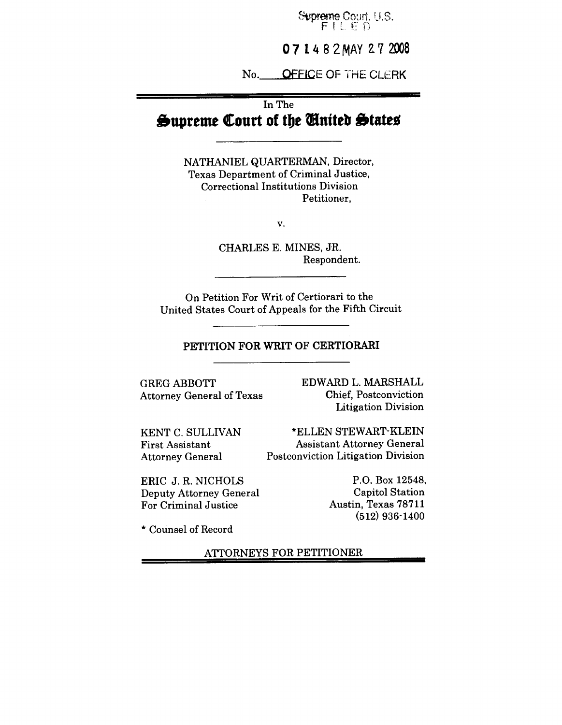Supreme Court, U.S.  $\int_{\rm DM}$ 

**07 1 4 8 2 MAY 2 7 2008** 

No. OFFICE OF THE CLERK

# In The **Supreme Court of the United Statee**

NATHANIEL QUARTERMAN, Director, Texas Department of Criminal Justice, Correctional Institutions Division Petitioner,

v.

CHARLES E. MINES, JR. Respondent.

On Petition For Writ of Certiorari to the United States Court of Appeals for the Fifth Circuit

## PETITION FOR WRIT OF CERTIORARI

GREG ABBOTT Attorney General of Texas EDWARD L. MARSHALL Chief, Postconviction Litigation Division

\*ELLEN STEWART-KLEIN Assistant Attorney General

Postconviction Litigation Division

KENT C. SULLIVAN First Assistant Attorney General

ERIC J. R. NICHOLS Deputy Attorney General For Criminal Justice

P.O. Box 12548, Capitol Station Austin, Texas 78711 (512) 936-1400

\* Counsel of Record

ATTORNEYS FOR PETITIONER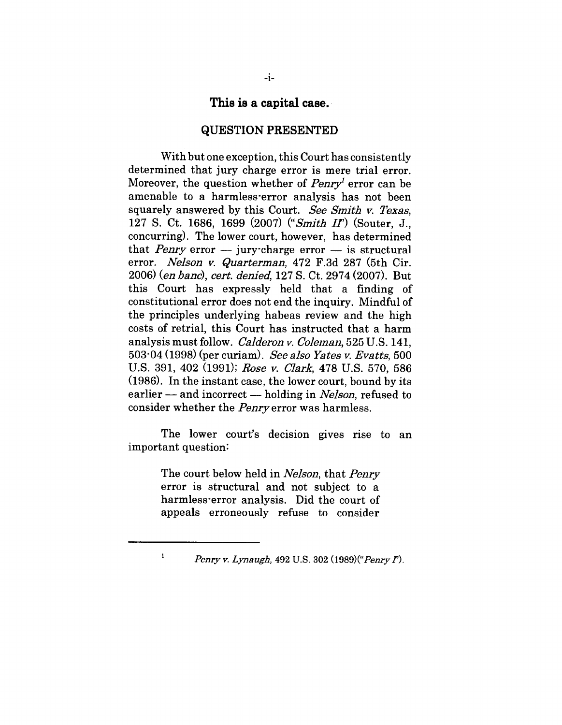## **This is a capital case.~**

#### **QUESTION PRESENTED**

With but one exception, this Court has consistently determined that jury charge error is mere trial error. Moreover, the question whether of  $Penry<sup>T</sup>$  error can be amenable to a harmless-error analysis has not been squarely answered by this Court. See *Smith v. Texas,* 127 S. Ct. 1686, 1699 (2007) *("Smith IT)* (Souter, J., concurring). The lower court, however, has determined that *Penry* error  $-$  jury-charge error  $-$  is structural error. *Nelson v. Quarterman*, 472 F.3d 287 (5th Cir. 2006) (en banc), cert. denied, 127 S. Ct. 2974 (2007). But this Court has expressly held that a finding of constitutional error does not end the inquiry. Mindful of the principles underlying habeas review and the high costs of retrial, this Court has instructed that a harm analysis must follow. *CaIderon v. Coleman,* 525 U.S. 141, 503"04 (1998) (per curiam). *See also Yates ~. Evatts,* 500 U.S. 391, 402 (1991); Rose v. Clark, 478 U.S. 570, 586 (1986). In the instant case, the lower court, bound by its earlier -- and incorrect -- holding in *Nelson*, refused to consider whether the *Penry* error was harmless.

The lower court's decision gives rise to an important question:

> The court below held in *Nelson,* that *Penry* error is structural and not subject to a harmless-error analysis. Did the court of appeals erroneously refuse to consider

 $\mathbf 1$ 

*Penry v. Lynaugh,* 492 U.S. 302 *(1989)("Penry 1").*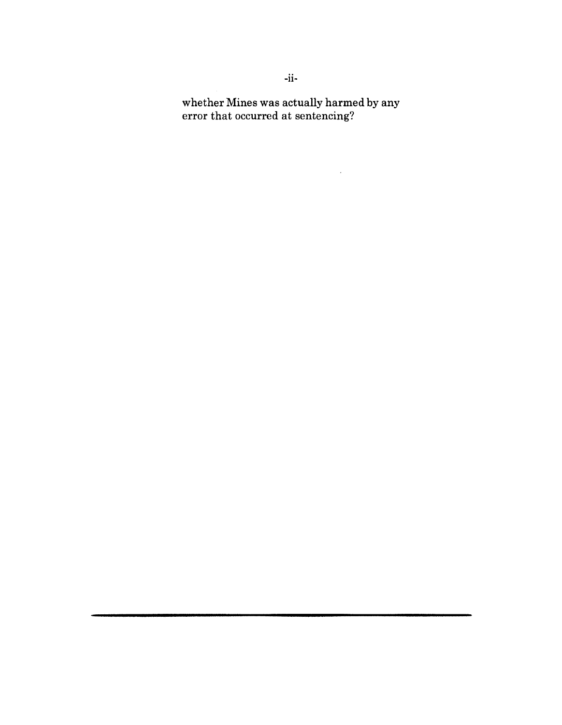**whether** Mines was actually harmed by any error that occurred at sentencing?

 $\mathcal{L}^{\text{max}}_{\text{max}}$  , where  $\mathcal{L}^{\text{max}}_{\text{max}}$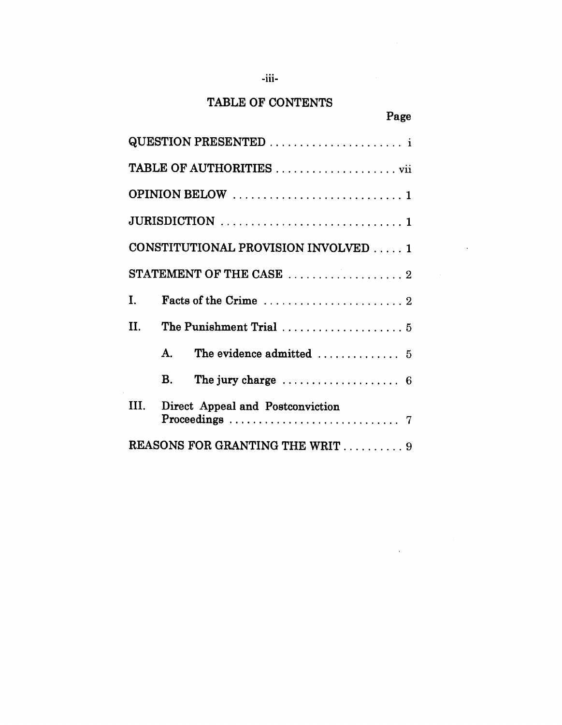# TABLE OF CONTENTS

-iii.

| ٠<br>×<br>۰, |  |
|--------------|--|
|              |  |

 $\sim$ 

 $\bar{\mathcal{A}}$ 

| QUESTION PRESENTED                                                    |
|-----------------------------------------------------------------------|
|                                                                       |
|                                                                       |
|                                                                       |
| CONSTITUTIONAL PROVISION INVOLVED 1                                   |
| STATEMENT OF THE CASE 2                                               |
| T.                                                                    |
| H.<br>The Punishment Trial  5                                         |
| The evidence admitted $\dots\dots\dots\dots\dots$ 5<br>$\mathbf{A}$ . |
| The jury charge $\ldots \ldots \ldots \ldots \ldots$ 6<br>В.          |
| III.<br>Direct Appeal and Postconviction                              |
| <b>REASONS FOR GRANTING THE WRIT</b> 9                                |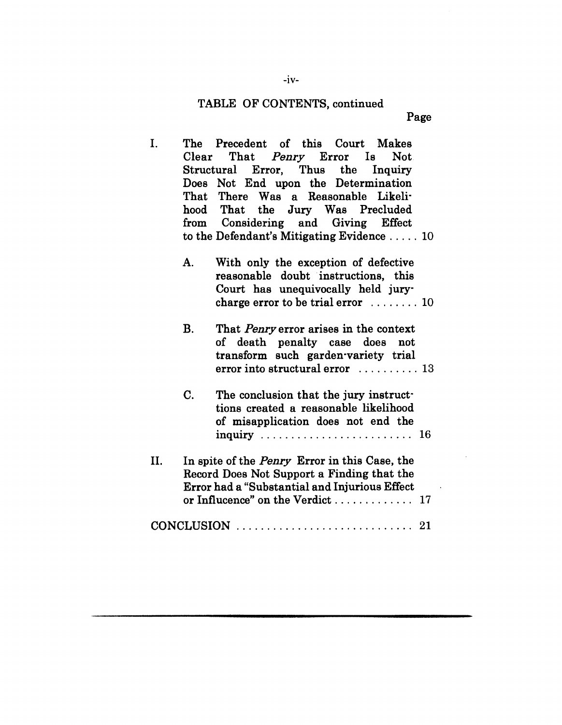## TABLE OF CONTENTS, continued

Page

- $\mathbf{I}$ . The Precedent of this Court Makes Clear That *Penry* Error Is Not<br>Structural Error, Thus the Inquiry Structural Error, Thus the Inquiry Does Not End upon the Determination That There Was a Reasonable Likelihood That the Jury Was Precluded Considering and Giving Effect from to the Defendant's Mitigating Evidence .....10
	- A. With only the exception of defective reasonable doubt instructions, this Court has unequivocally held jurycharge error to be trial error ........10
	- B. That *Penry* error arises in the context of death penalty case does not transform such garden-variety trial error into structural error ........... 13
	- $C.$  The conclusion that the jury instruct tions created a reasonable likelihood of misapplication does not end the inquiry .........................16
- If. In spite of the *Penry* Error in this Case, the Record Does Not Support a Finding that the Error had a "Substantial and Injurious Effect or Influcence" on the Verdict ................ 17
- CONCLUSION ............................. 21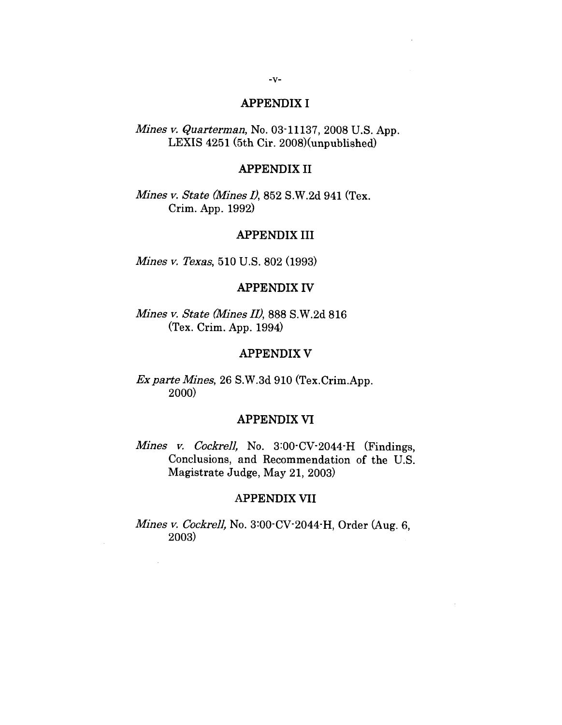## APPENDIX I

*Mines v. Quarterman,* No. 03-11137, 2008 U.S. App. LEXIS 4251 (5th Cir. 2008)(unpublished)

#### APPENDIX II

*Mines v. State (Mines I),* 852 S.W.2d 941 (Tex. Crim. App. 1992)

#### APPENDIX III

*Mines v. Texas,* 510 U.S. 802 (1993)

# APPENDIX IV

*Mines v. State (Mines II),* 888 S.W.2d 816 (Tex. Crim. App. 1994)

#### APPENDIX V

*Ex parte Mines, 26* S.W.3d 910 (Tex.Crim.App. 2000)

## **APPENDIX VI**

*Mines v. Cockrell, No. 3:00* CV-2044 H (Findings, Conclusions, and Recommendation of the U.S. Magistrate Judge, May 21, 2003)

#### **APPENDIX VII**

*Mines v. Cockrell,* No. 3:00-CV-2044-H, Order (Aug. 6, 2003)

 $\sim$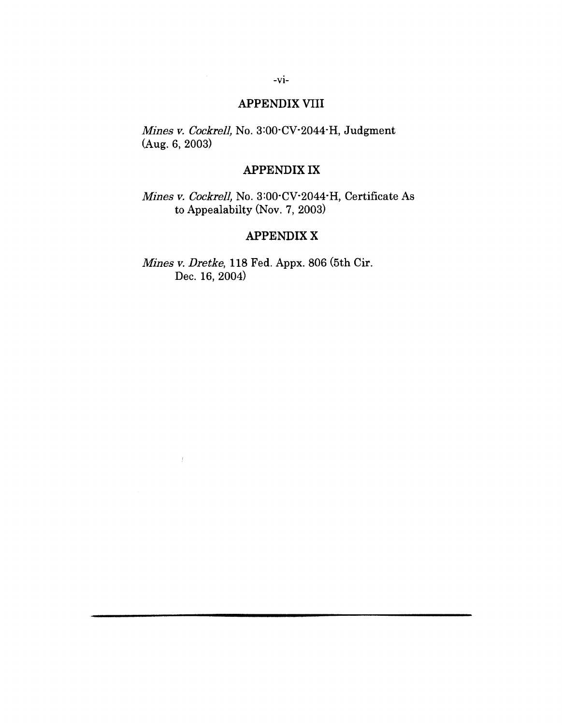# **APPENDIX VIII**

*Mines v. Cockrell,* No. 3:00-CV-2044-H, Judgment (Aug. 6, 2003)

# APPENDIX IX

*Mlnes v. Cockrell,* No. 3:00-CV-2044-H, Certificate As to Appealabilty (Nov. 7, 2003)

# APPENDIX X

*Mines y. Dretke,* 118 Fed. Appx. 806 (5th Cir. Dec. 16, 2004)

 $\bar{f}$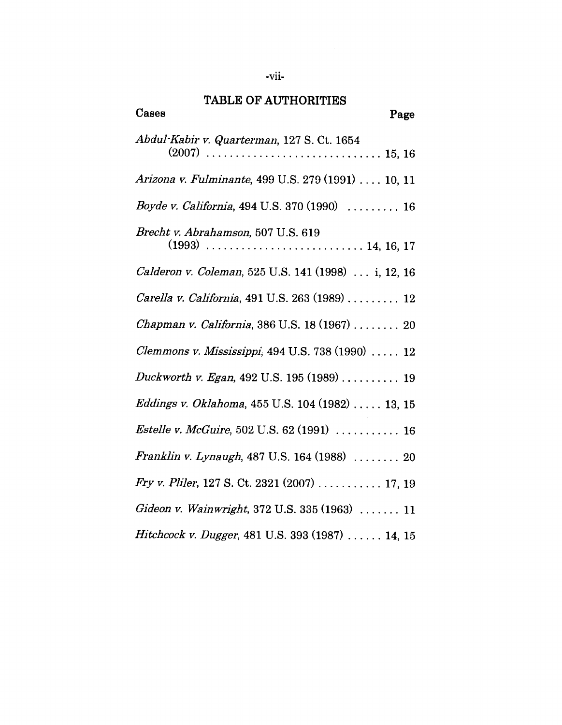# **TABLE** OF AUTHORITIES

| Cases<br>Page                                        |
|------------------------------------------------------|
| Abdul-Kabir v. Quarterman, 127 S. Ct. 1654           |
| Arizona v. Fulminante, 499 U.S. 279 (1991)  10, 11   |
| Boyde v. California, 494 U.S. 370 (1990)  16         |
| Brecht v. Abrahamson, 507 U.S. 619                   |
| Calderon v. Coleman, 525 U.S. 141 (1998)  i, 12, 16  |
| Carella v. California, 491 U.S. 263 (1989)  12       |
| Chapman v. California, 386 U.S. 18 (1967)  20        |
| Clemmons v. Mississippi, 494 U.S. 738 (1990)  12     |
| Duckworth v. Egan, 492 U.S. 195 (1989)  19           |
| Eddings v. Oklahoma, 455 U.S. 104 (1982)  13, 15     |
| <i>Estelle v. McGuire</i> , 502 U.S. 62 (1991)  16   |
| Franklin v. Lynaugh, 487 U.S. 164 (1988)  20         |
| <i>Fry v. Pliler</i> , 127 S. Ct. 2321 (2007) 17, 19 |
| Gideon v. Wainwright, 372 U.S. 335 (1963)  11        |
| Hitchcock v. Dugger, 481 U.S. 393 (1987)  14, 15     |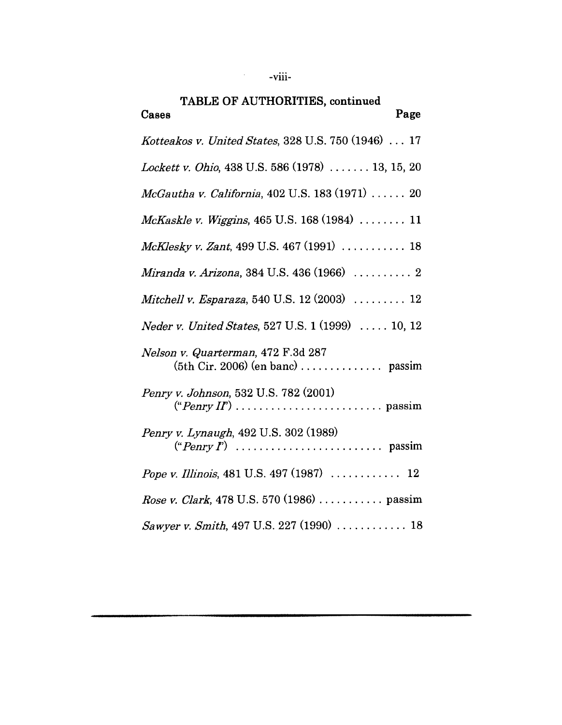| TABLE OF AUTHORITIES, continued<br>Page<br>Cases                                                                    |
|---------------------------------------------------------------------------------------------------------------------|
| Kotteakos v. United States, 328 U.S. 750 (1946)  17                                                                 |
| Lockett v. Ohio, 438 U.S. 586 (1978)  13, 15, 20                                                                    |
| McGautha v. California, 402 U.S. 183 (1971)  20                                                                     |
| McKaskle v. Wiggins, 465 U.S. 168 (1984)  11                                                                        |
| McKlesky v. Zant, 499 U.S. 467 (1991)  18                                                                           |
| Miranda v. Arizona, 384 U.S. 436 (1966)  2                                                                          |
| Mitchell v. Esparaza, 540 U.S. 12 (2003) $\ldots$ 12                                                                |
| <i>Neder v. United States,</i> 527 U.S. 1 (1999)  10, 12                                                            |
| Nelson v. Quarterman, 472 F.3d 287                                                                                  |
| Penry v. Johnson, 532 U.S. 782 (2001)                                                                               |
| Penry v. Lynaugh, 492 U.S. 302 (1989)<br>$("Penry I") \dots \dots \dots \dots \dots \dots \dots \dots \dots$ passim |
|                                                                                                                     |
| Rose v. Clark, 478 U.S. 570 (1986)  passim                                                                          |
| Sawyer v. Smith, 497 U.S. 227 (1990)  18                                                                            |

 $-$ viii-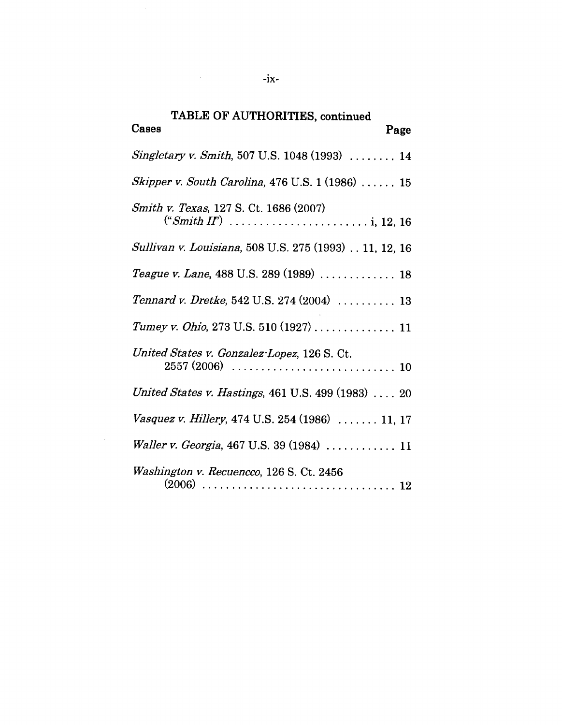| TABLE OF AUTHORITIES, continued<br>Cases<br>Page      |
|-------------------------------------------------------|
|                                                       |
| Singletary v. Smith, 507 U.S. 1048 (1993)  14         |
| Skipper v. South Carolina, 476 U.S. $1(1986)$ 15      |
| Smith v. Texas, 127 S. Ct. 1686 (2007)                |
| Sullivan v. Louisiana, 508 U.S. 275 (1993) 11, 12, 16 |
| Teague v. Lane, 488 U.S. 289 (1989)  18               |
| Tennard v. Dretke, 542 U.S. 274 (2004)  13            |
| Tumey v. Ohio, 273 U.S. 510 (1927)  11                |
| United States v. Gonzalez-Lopez, 126 S. Ct.           |
| United States v. Hastings, 461 U.S. 499 (1983)  20    |
| Vasquez v. Hillery, 474 U.S. 254 (1986)  11, 17       |
| Waller v. Georgia, 467 U.S. 39 (1984)  11             |
| Washington v. Recuencco, 126 S. Ct. 2456              |

 $-ix-$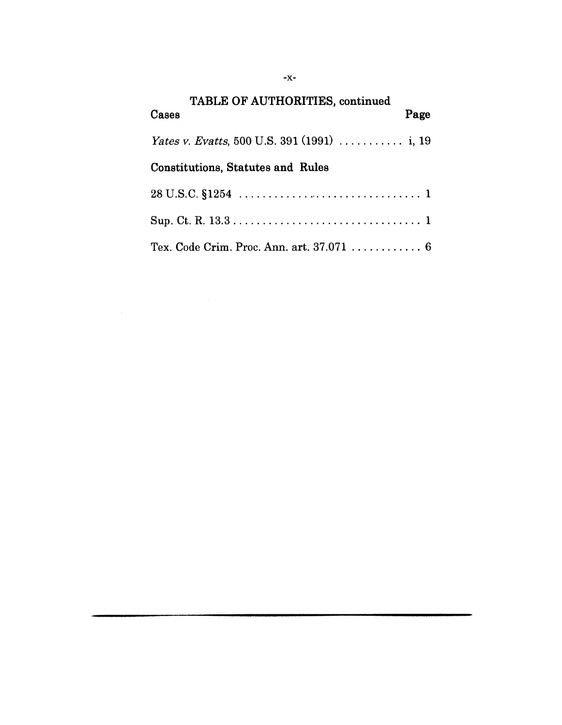| TABLE OF AUTHORITIES, continued<br>Page<br>Cases                          |
|---------------------------------------------------------------------------|
| <i>Yates v. Evatts</i> , 500 U.S. 391 (1991) $\ldots \ldots \ldots$ i, 19 |
| <b>Constitutions, Statutes and Rules</b>                                  |
|                                                                           |
|                                                                           |
| Tex. Code Crim. Proc. Ann. art. $37.071$ 6                                |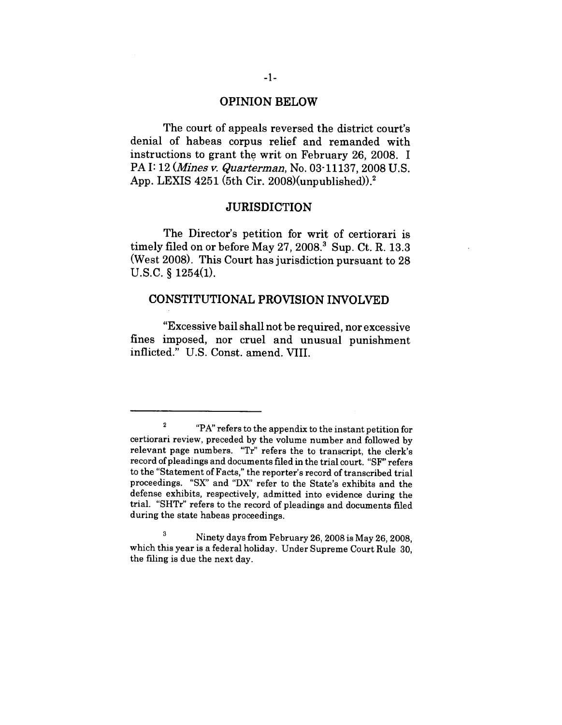### **OPINION BELOW**

The court of appeals reversed the district court's denial of habeas corpus relief and remanded with instructions to grant the writ on February 26, 2008. I PA I: 12 *(Mines v. Quarterman, No. 03* 11137, 2008 U.S.) App. LEXIS  $4251$  (5th Cir. 2008)(unpublished)).<sup>2</sup>

#### **JURISDICTION**

The Director's petition for writ of certiorari is timely filed on or before May  $27, 2008$ .<sup>3</sup> Sup. Ct. R. 13.3 (West 2008). This Court has jurisdiction pursuant to 28 U.S.C. § 1254(1).

# CONSTITUTIONAL PROVISION INVOLVED

"Excessive bail shall not be required, nor excessive fines imposed, nor cruel and unusual punishment inflicted." U.S. Const. amend. VIII.

<sup>2 &</sup>quot;PA" refers to the appendix to the instant petition for certiorari review, preceded by the volume number and followed by relevant page numbers. "Tr" refers the to transcript, the clerk's record of pleadings and documents filed in the trial court. "SF" refers to the "Statement of Facts," the reporter's record of transcribed trial proceedings. "SX" and "DX" refer to the State's exhibits and the defense exhibits, respectively, admitted into evidence during the trial. "SHTr" refers to the record of pleadings and documents filed during the state habeas proceedings.

<sup>&</sup>lt;sup>3</sup> Ninety days from February 26, 2008 is May 26, 2008, which this year is a federal holiday. Under Supreme Court Rule 30, the filing is due the next day.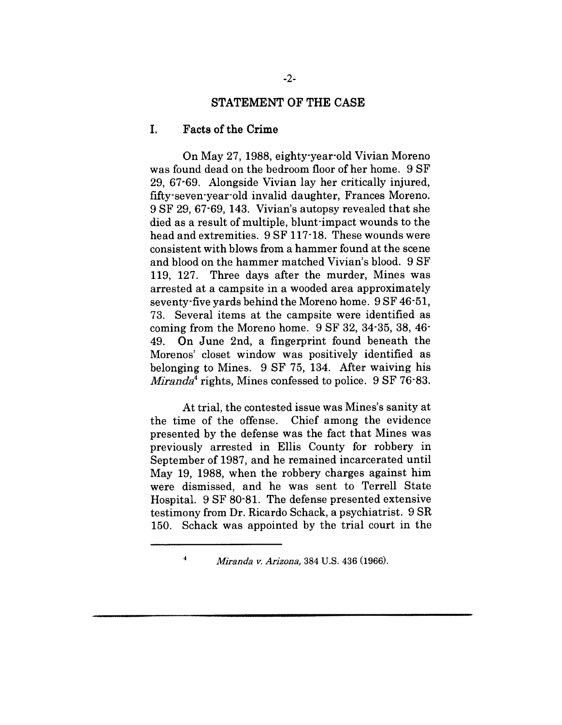#### **STATEMENT OF THE CASE**

#### **I. Facts of the Crime**

On May 27, 1988, eighty-year-old Vivian Moreno was found dead on the bedroom floor of her home. 9 SF 29, 67-69. Alongside Vivian lay her critically injured, fifty-seven-year-old invalid daughter, Frances Moreno. 9 SF 29, 67-69, 143. Vivian's autopsy revealed that she died as a result of multiple, blunt'impact wounds to the head and extremities. 9 SF 117-18. These wounds were consistent with blows from a hammer found at the scene and blood on the hammer matched Vivian's blood. 9 SF 119, 127. Three days after the murder, Mines was arrested at a campsite in a wooded area approximately seventy'five yards behind the Moreno home. 9 SF 46-51, 73. Several items at the campsite were identified as coming from the Moreno home. 9 SF 32, 34-35, 38, 46- 49. On June 2nd, a fingerprint found beneath the Morenos' closet window was positively identified as belonging to Mines. 9 SF 75, 134. After waiving his *Miranda*<sup>4</sup> rights, Mines confessed to police. 9 SF 76.83.

At trial, the contested issue was Mines's sanity at the time of the offense. Chief among the evidence presented by the defense was the fact that Mines was previously arrested in Ellis County for robbery in September of 1987, and he remained incarcerated until May 19, 1988, when the robbery charges against him were dismissed, and he was sent to Terrell State Hospital. 9 SF 80-81. The defense presented extensive testimony from Dr. Ricardo Schack, a psychiatrist. 9 SR 150. Schack was appointed by the trial court in the

 $\boldsymbol{4}$ 

*Mirsnda v. Arizona,* 384 U.S. 436 (1966).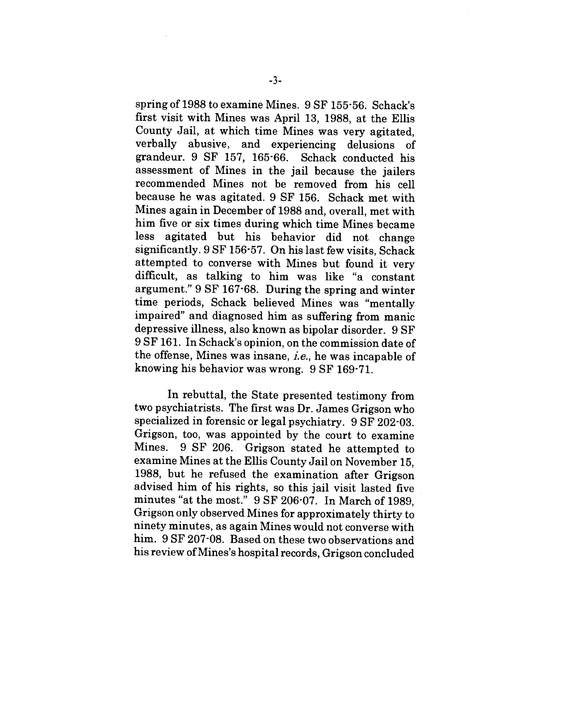spring of 1988 to examine Mines. 9 SF 155-56. Schack's first visit with Mines was April 13, 1988, at the Ellis County Jail, at which time Mines was very agitated, verbally abusive, and experiencing delusions of grandeur. 9 SF 157, 165-66. Schack conducted his assessment of Mines in the jail because the jailers recommended Mines not be removed from his cell because he was agitated. 9 SF 156. Schack met with Mines again in December of 1988 and, overall, met with him five or six times during which time Mines became less agitated but his behavior did not change significantly. 9 SF 156-57. On his last few visits, Schack attempted to converse with Mines but found it very difficult, as talking to him was like "a constant argument." 9 SF 167-68. During the spring and winter time periods, Schack believed Mines was "mentally impaired" and diagnosed him as suffering from manic depressive illness, also known as bipolar disorder. 9 SF 9 SF 161. In Schack's opinion, on the commission date of the offense, Mines was insane,  $i.e.,$  he was incapable of knowing his behavior was wrong. 9 SF 169-71.

In rebuttal, the State presented testimony from two psychiatrists. The first was Dr. James Grigson who specialized in forensic or legal psychiatry. 9 SF 202-03. Grigson, too, was appointed by the court to examine Mines. 9 SF 206. Grigson stated he attempted to examine Mines at the Ellis County Jail on November 15, 1988, but he refused the examination after Grigson advised him of his rights, so this jail visit lasted five minutes "at the most." 9 SF 206-07. In March of 1989, Grigson only observed Mines for approximately thirty to ninety minutes, as again Mines would not converse with him. 9 SF 207-08. Based on these two observations and his review of Mines's hospital records, Grigson concluded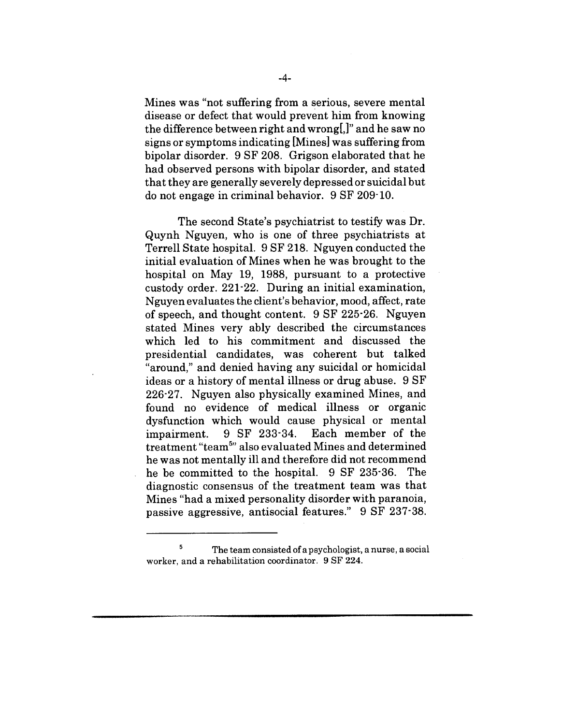Mines was "not suffering from a serious, severe mental disease or defect that would prevent him from knowing the difference between right and wrong[,]" and he saw no signs or symptoms indicating [Mines] was suffering from bipolar disorder. 9 SF 208. Grigson elaborated that he had observed persons with bipolar disorder, and stated that they are generally severely depressed or suicidal but do not engage in criminal behavior. 9 SF 209-10.

The second State's psychiatrist to testify was Dr. Quynh Nguyen, who is one of three psychiatrists at Terrell State hospital. 9 SF 218. Nguyen conducted the initial evaluation of Mines when he was brought to the hospital on May 19, 1988, pursuant to a protective custody order. 221-22. During an initial examination, Nguyen evaluates the client's behavior, mood, affect, rate of speech, and thought content. 9 SF 225-26. Nguyen stated Mines very ably described the circumstances which led to his commitment and discussed the presidential candidates, was coherent but talked "around," and denied having any suicidal or homicidal ideas or a history of mental illness or drug abuse. 9 SF 226.27. Nguyen also physically examined Mines, and found no evidence of medical illness or organic dysfunction which would cause physical or mental impairment. 9 SF 233-34. Each member of the treatment "team5'' also evaluated Mines and determined he was not mentally ill and therefore did not recommend he be committed to the hospital. 9 SF 235-36. The diagnostic consensus of the treatment team was that Mines "had a mixed personality disorder with paranoia, passive aggressive, antisocial features." 9 SF 237-38.

 $\overline{5}$ The team consisted of a psychologist, a nurse, a social worker, and a rehabilitation coordinator. 9 SF 224.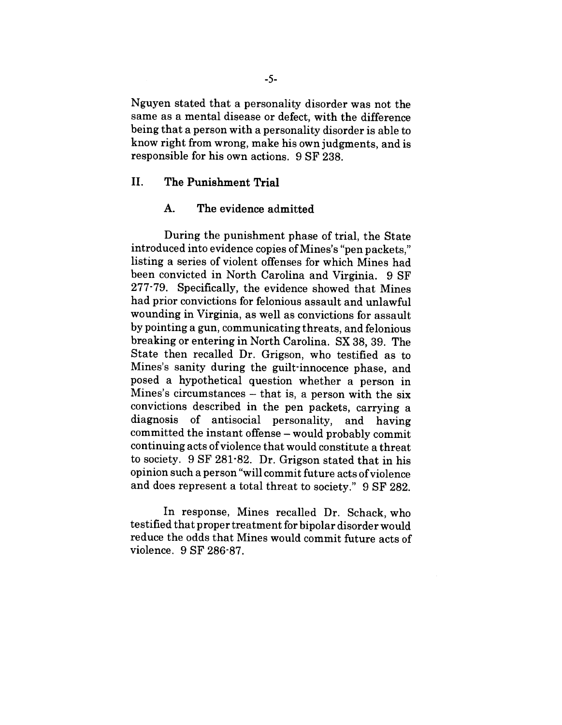Nguyen stated that a personality disorder was not the same as a mental disease or defect, with the difference being that a person with a personality disorder is able to know right from wrong, make his own judgments, and is responsible for his own actions. 9 SF 238.

# II. The Punishment Trial

#### A. The evidence admitted

During the punishment phase of trial, the State introduced into evidence copies of Mines's "pen packets," listing a series of violent offenses for which Mines had been convicted in North Carolina and Virginia. 9 SF 277-79. Specifically, the evidence showed that Mines had prior convictions for felonious assault and unlawful wounding in Virginia, as well as convictions for assault by pointing a gun, communicating threats, and felonious breaking or entering in North Carolina. SX 38, 39. The State then recalled Dr. Grigson, who testified as to Mines's sanity during the guilt-innocence phase, and posed a hypothetical question whether a person in Mines's circumstances  $-$  that is, a person with the six convictions described in the pen packets, carrying a diagnosis of antisocial personality, and having committed the instant offense - would probably commit continuing acts of violence that would constitute a threat to society. 9 SF 281-82. Dr. Grigson stated that in his opinion such a person "will commit future acts of violence and does represent a total threat to society." 9 SF 282.

In response, Mines recalled Dr. Schack, who testified that proper treatment for bipolar disorder would reduce the odds that Mines would commit future acts of violence. 9 SF 286-87.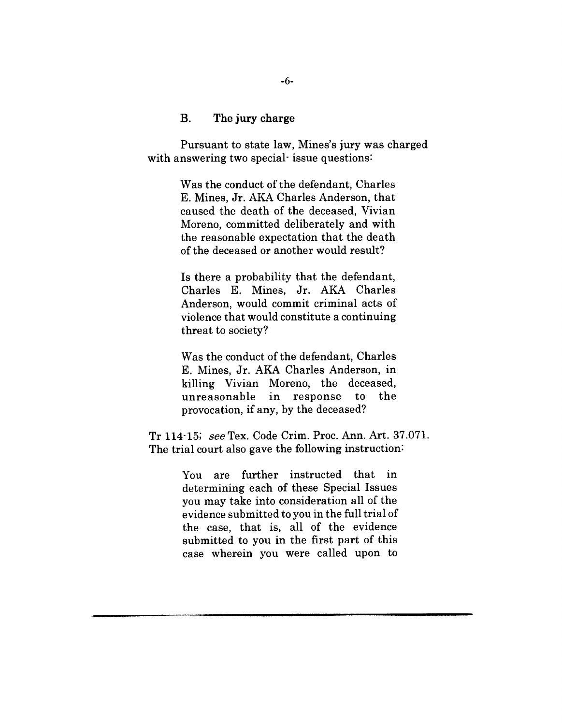## **B. The jury charge**

Pursuant to state law, Mines's jury was charged with answering two special- issue questions:

> Was the conduct of the defendant, Charles E. Mines, Jr. AKA Charles Anderson, that caused the death of the deceased, Vivian Moreno, committed deliberately and with the reasonable expectation that the death of the deceased or another would result?

> Is there a probability that the defendant, Charles E. Mines, Jr. AKA Charles Anderson, would commit criminal acts of violence that would constitute a continuing threat to society?

> Was the conduct of the defendant, Charles E. Mines, Jr. AKA Charles Anderson, in killing Vivian Moreno, the deceased, unreasonable in response to the provocation, if any, by the deceased?

Tr 114-15; seeTex. Code Crim. Proc. Ann. Art. 37.071. The trial court also gave the following instruction:

> You are further instructed that in determining each of these Special Issues you may take into consideration all of the evidence submitted to you in the full trial of the case, that is, all of the evidence submitted to you in the first part of this case wherein you were called upon to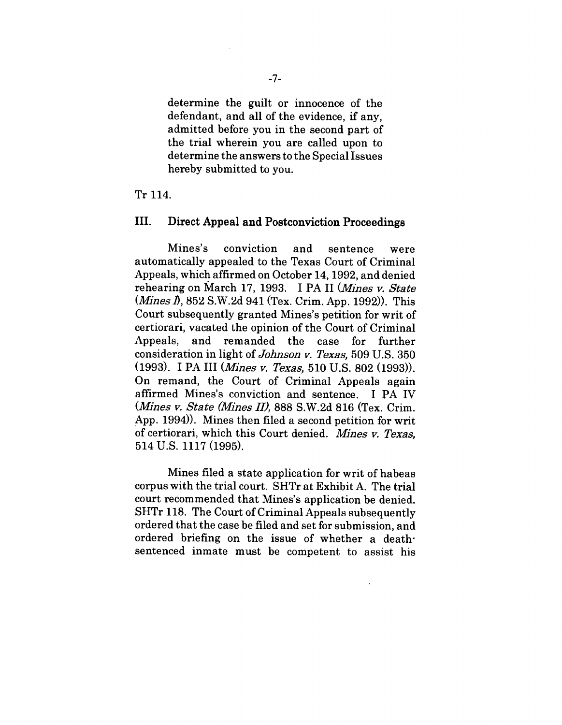determine the guilt or innocence of the defendant, and all of the evidence, if any, admitted before you in the second part of the trial wherein you are called upon to determine the answers to the Special Issues hereby submitted to you.

#### Tr 114.

#### **III. Direct Appeal and Postconviction Proceedings**

Mines's conviction and sentence were automatically appealed to the Texas Court of Criminal Appeals, which affirmed on October 14, 1992, and denied rehearing on March 17, 1993. I PA II *(Mines v. State*) *(Mines/),* 852 S.W.2d 941 (Tex. Crim. App. 1992)). This Court subsequently granted Mines's petition for writ of certiorari, vacated the opinion of the Court of Criminal Appeals, and remanded the case for further consideration in light of *Johnson v. Texas*, 509 U.S. 350 (1993). I PA III *(Mines ~. Texas,* 510 U.S. 802 (1993)). On remand, the Court of Criminal Appeals again affirmed Mines's conviction and sentence. I PA IV *(Ml~es ~. State (Mines II),* 888 S.W.2d 816 (Tex. Crim. App. 1994)). Mines then filed a second petition for writ of certiorari, which this Court denied. Mines v. Texas, 514 U.S. 1117 (1995).

Mines filed a state application for writ of habeas corpus with the trial court. SHTr at Exhibit A. The trial court recommended that Mines's application be denied. SHTr 118. The Court of Criminal Appeals subsequently ordered that the case be filed and set for submission, and ordered briefing on the issue of whether a deathsentenced inmate must be competent to assist his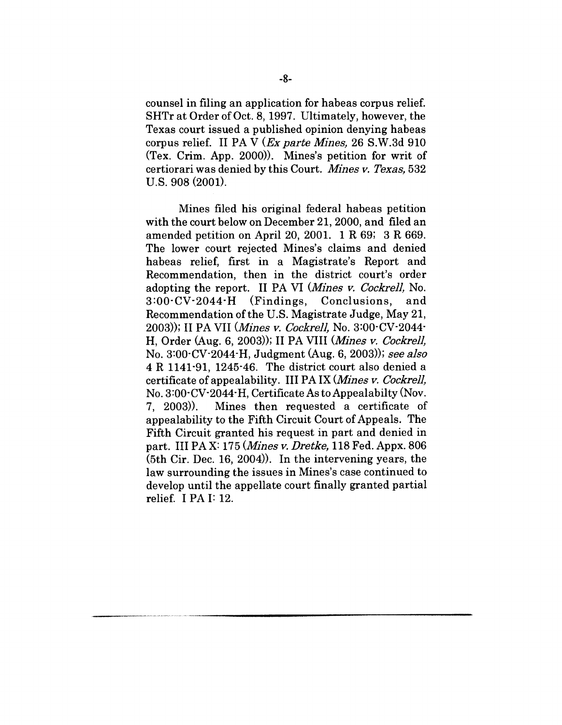counsel in filing an application for habeas corpus relief. SHTr at Order of Oct. 8, 1997. Ultimately, however, the Texas court issued a published opinion denying habeas corpus relief. II PA V (*Ex parte Mines*, 26 S.W.3d 910 (Tex. Crim. App. 2000)). Mines's petition for writ of certiorari was denied by this Court. *Mines v. Texas,* 532 U.S. 908 (2001).

Mines filed his original federal habeas petition with the court below on December 21, 2000, and filed an amended petition on April 20, 2001. 1 R 69; 3 R 669. The lower court rejected Mines's claims and denied habeas relief, first in a Magistrate's Report and Recommendation, then in the district court's order adopting the report. II PA VI *(Mines v. Cockrell*, No. 3:00-CV-2044-H (Findings, Conclusions, and Recommendation of the U.S. Magistrate Judge, May 21, 2003)); II PA VII (*Mines v. Cockrell*, No. 3:00 $\cdot$ CV $\cdot$ 2044 $\cdot$ H, Order (Aug. 6, 2003)); II PA VIII *(Mines ~. Cockre11,* No. 3:00-CV-2044"H, Judgment (Aug. 6, 2003)); *see slso* 4 R 1141-91, 1245-46. The district court also denied a certificate of appealability. III PA IX *(Mines v. Cockrell,* No. 3:00-CV-2044-H, Certificate As to Appealabilty (Nov. 7, 2003)). Mines then requested a certificate of appealability to the Fifth Circuit Court of Appeals. The Fifth Circuit granted his request in part and denied in part. III PAX: 175 *(Mines v. Dretke,* 118 Fed. Appx. 806 (5th Cir. Dec. 16, 2004)). In the intervening years, the law surrounding the issues in Mines's case continued to develop until the appellate court finally granted partial relief. I PA I: 12.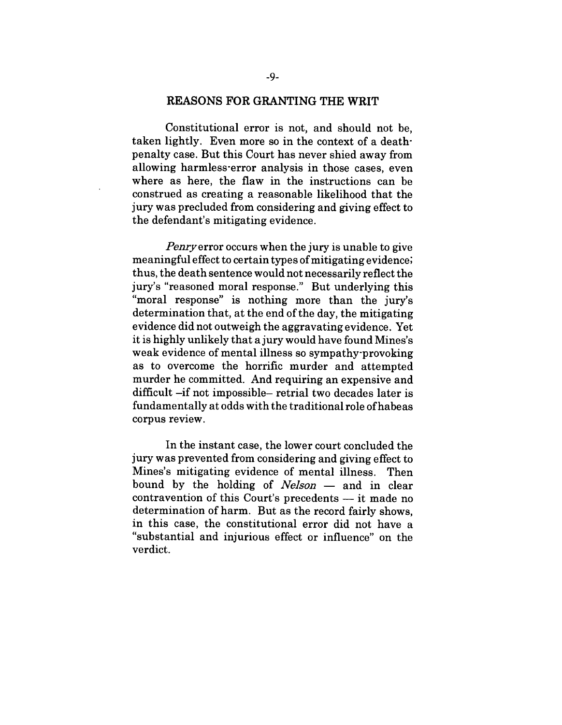#### **REASONS FOR GRANTING THE WRIT**

Constitutional error is not, and should not be, taken lightly. Even more so in the context of a deathpenalty case. But this Court has never shied away from allowing harmless-error analysis in those cases, even where as here, the flaw in the instructions can be construed as creating a reasonable likelihood that the jury was precluded from considering and giving effect to the defendant's mitigating evidence.

*Penryerror* occurs when the jury is unable to give meaningful effect to certain types of mitigating evidence; thus, the death sentence would not necessarily reflect the jury's "reasoned moral response." But underlying this "moral response" is nothing more than the jury's determination that, at the end of the day, the mitigating evidence did not outweigh the aggravating evidence. Yet it is highly unlikely that a jury would have found Mines's weak evidence of mental illness so sympathy-provoking as to overcome the horrific murder and attempted murder he committed. And requiring an expensive and difficult -if not impossible- retrial two decades later is fundamentally at odds with the traditional role of habeas corpus review.

In the instant case, the lower court concluded the jury was prevented from considering and giving effect to Mines's mitigating evidence of mental illness. Then bound by the holding of *Nelson* — and in clear contravention of this Court's precedents  $-$  it made no determination of harm. But as the record fairly shows, in this case, the constitutional error did not have a "substantial and injurious effect or influence" on the verdict.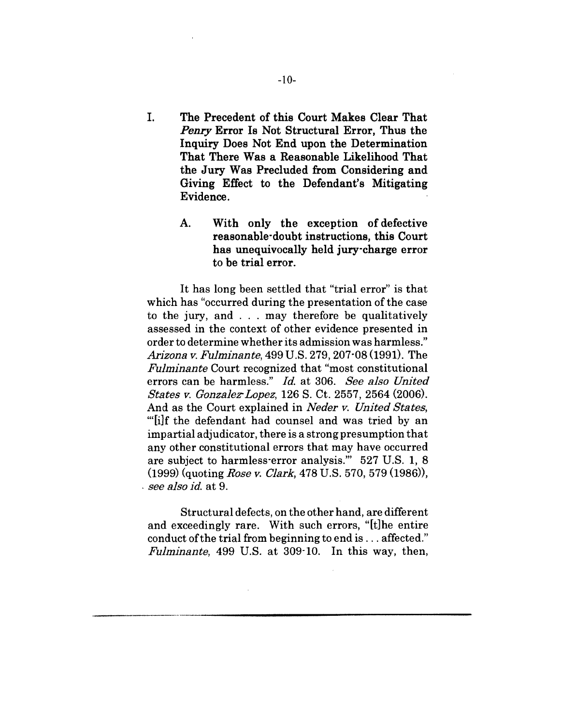- I. **The Precedent of this Court Makes Clear That** *Penry* **Error Is Not Structural Error, Thus the Inquiry Does Not End upon the Determination That There Was a Reasonable Likelihood That the Jury Was Precluded from Considering and Giving Effect to the Defendant's Mitigating Evidence.**
	- A. **With only the exception of defective reasonable-doubt instructions, this Court has unequivocally held jury'charge error to be trial error.**

It has long been settled that "trial error" is that which has "occurred during the presentation of the case to the jury, and . . . may therefore be qualitatively assessed in the context of other evidence presented in order to determine whether its admission was harmless." *Arizona v. Fulminante,* 499 U.S. 279, 207"08 (1991). The *Fulminante* Court recognized that "most constitutional errors can be harmless." *Id.* at 306. *See also United States v. Gonzalez'Lopez,* 126 S. Ct. 2557, 2564 (2006). And as the Court explained in *Neder v. United States,* '"[i]f the defendant had counsel and was tried by an impartial adjudicator, there is a strong presumption that any other constitutional errors that may have occurred are subject to harmless-error analysis.'" 527 U.S. 1, 8 (1999) (quoting *Rose v. Clark,* 478 U.S. 570, 579 (1986)), *¯ see a]so id.* at 9.

Structural defects, on the other hand, are different and exceedingly rare. With such errors, "[t]he entire conduct of the trial from beginning to end is... affected." *Fulminante,* 499 U.S. at 309-10. In this way, then,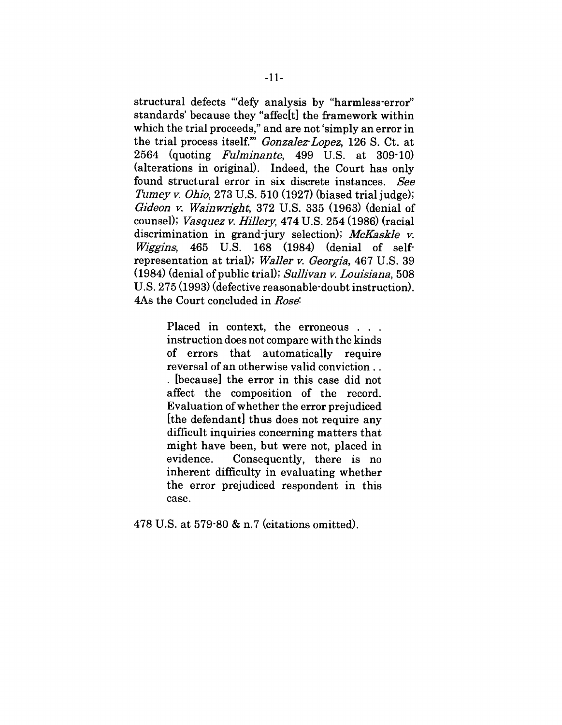structural defects "'defy analysis by "harmless-error" standards' because they "affec[t] the framework within which the trial proceeds," and are not 'simply an error in the trial process itself." *Gonzalez Lopez*, 126 S. Ct. at 2564 (quoting *Fulminante*, 499 U.S. at 309-10) (alterations in original). Indeed, the Court has only found structural error in six discrete instances. See *Tumey v. Ohio,* 273 U.S. 510 (1927) (biased trial judge); *Gideon ~. Wainwriglbt,* 372 U.S. 335 (1963) (denial of counsel); *Vasquez v. Hillery,* 474 U.S. 254 (1986) (racial discrimination in grand-jury selection); *McKaskle v. Wiggins*, 465 U.S. 168 (1984) (denial of selfrepresentation at trial); *Wsller v. Georgis,* 467 U.S. 39 (1984) (denial of public trial); *Sullivan v. Louisiana,* 508 U.S. 275 (1993) (defective reasonable'doubt instruction). 4As the Court concluded in *Rose:*

> Placed in context, the erroneous . . . instruction does not compare with the kinds of errors that automatically require reversal of an otherwise valid conviction.. [because] the error in this case did not affect the composition of the record. Evaluation of whether the error prejudiced [the defendant] thus does not require any difficult inquiries concerning matters that might have been, but were not, placed in evidence. Consequently, there is no inherent difficulty in evaluating whether the error prejudiced respondent in this case.

478 U.S. at 579-80 & n.7 (citations omitted).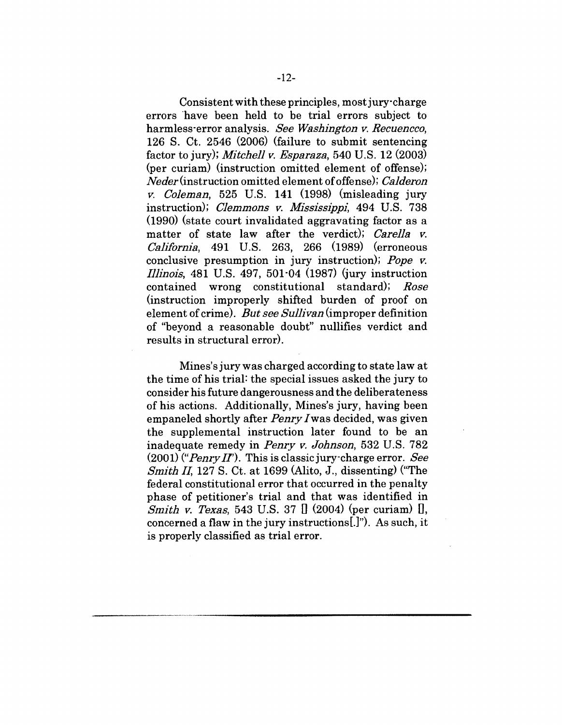Consistent with these principles, most jury-charge errors "have been held to be trial errors subject to harmless-error analysis. *See Washington v. Recuencco,* 126 S. Ct. 2546 (2006) (failure to submit sentencing factor to jury); *Mitchell v. Esparaza,* 540 U.S. 12 (2003) (per curiam) (instruction omitted element of offense); *Neder(instruction* omitted element of offense); *CaIderon v. Coleman,* 525 U.S. 141 (1998) (misleading jury instruction); *Clemmons v. Mississippi,* 494 U.S. 738 (1990) (state court invalidated aggravating factor as a matter of state law after the verdict); *Carella v. Cali£ornia,* 491 U.S. 263, 266 (1989) (erroneous conclusive presumption in jury instruction); *Pope v. Illinois,* 481 U.S. 497, 501-04 (1987) (jury instruction contained wrong constitutional standard); *Rose* (instruction improperly shifted burden of proof on element of crime). *But see Sullivan* (improper definition of "beyond a reasonable doubt" nullifies verdict and results in structural error).

Mines's jury was charged according to state law at the time of his trial: the special issues asked the jury to consider his future dangerousness and the deliberateness of his actions. Additionally, Mines's jury, having been empaneled shortly after *Penry/was* decided, was given the supplemental instruction later found to be an inadequate remedy in *Penry v. Johnson,* 532 U.S. 782 (2001) *("PenrjzII').* This is classic jury-charge error. *See Smith II,* 127 S. Ct. at 1699 (Alito, J., dissenting) ("The federal constitutional error that occurred in the penalty phase of petitioner's trial and that was identified in *Smith v. Texas*, 543 U.S. 37 [] (2004) (per curiam) [], concerned a flaw in the jury instructions[.]"). As such, it is properly classified as trial error.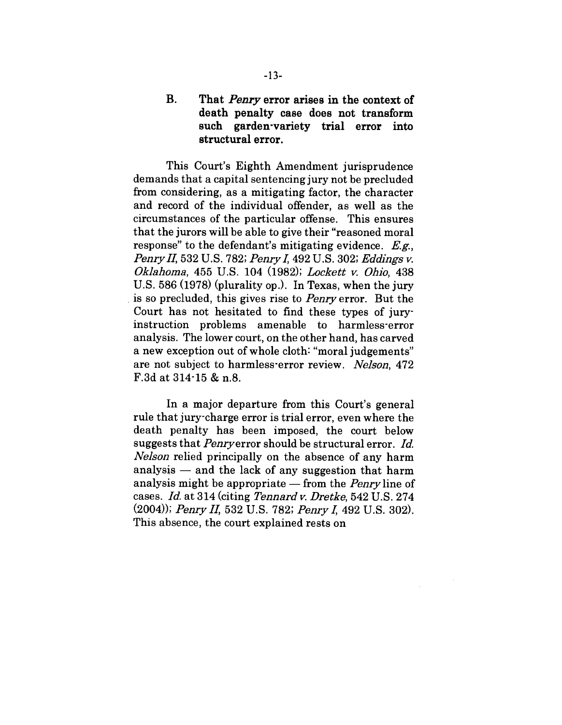# Be **That** *Penry* **error arises in the context of death penalty case does not transform such garden-variety trial error into structural error.**

This Court's Eighth Amendment jurisprudence demands that a capital sentencing jury not be precluded from considering, as a mitigating factor, the character and record of the individual offender, as well as the circumstances of the particular offense. This ensures that the jurors will be able to give their "reasoned moral response" to the defendant's mitigating evidence. *E.g., Penry II,* 532 U.S. 782; *Penry I,* 492 U.S. 302; *Eddings v. Oklahoma,* 455 U.S. 104 (1982); *Lockett v. Ohio,* 438 U.S. 586 (1978) (plurality op.). In Texas, when the jury is so precluded, this gives rise to *Penry* error. But the Court has not hesitated to find these types of juryinstruction problems amenable to harmless-error analysis. The lower court, on the other hand, has carved a new exception out of whole cloth: "moral judgements" are not subject to harmless'error review. *Nelson,* 472 F.3d at 314-15 & n.8.

In a major departure from this Court's general rule that jury-charge error is trial error, even where the death penalty has been imposed, the court below suggests that Penryerror should be structural error. *Id. Nelson* relied principally on the absence of any harm analysis  $-$  and the lack of any suggestion that harm analysis might be appropriate - from the *Penry* line of cases. *Id.* at 314 (citing *Tennard v. Dretke,* 542 U.S. 274 (2004)); *Penry II,* 532 U.S. 782; *Penry I,* 492 U.S. 302). This absence, the court explained rests on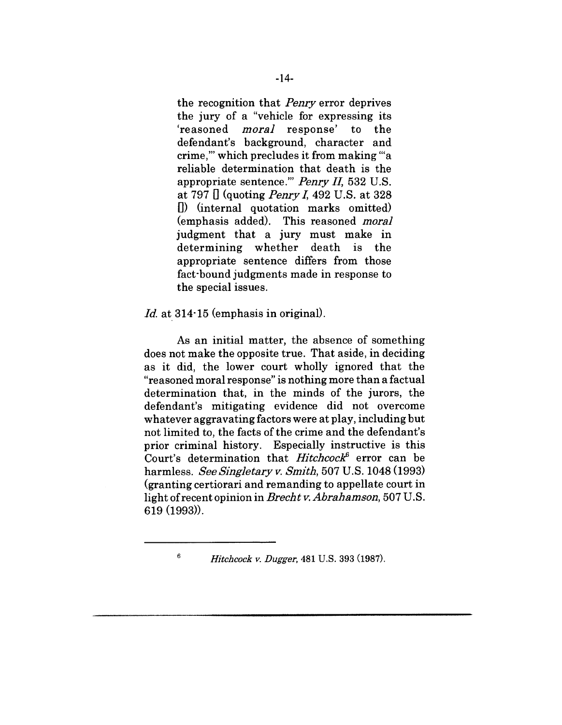the recognition that *Penry* error deprives the jury of a "vehicle for expressing its 'reasoned *moral* response' to the defendant's background, character and crime,'" which precludes it from making '"a reliable determination that death is the appropriate sentence.'" *Penry II,* 532 U.S. at 797 [] (quoting *PenryI,* 492 U.S. at 328 D) (internal quotation marks omitted) (emphasis added). This reasoned *moral* judgment that a jury must make in determining whether death is the appropriate sentence differs from those fact-bound judgments made in response to the special issues.

## *Id.* at 314-15 (emphasis in original).

 $\epsilon$ 

As an initial matter, the absence of something does not make the opposite true. That aside, in deciding as it did, the lower court wholly ignored that the "reasoned moral response" is nothing more than a factual determination that, in the minds of the jurors, the defendant's mitigating evidence did not overcome whatever aggravating factors were at play, including but not limited to, the facts of the crime and the defendant's prior criminal history. Especially instructive is this Court's determination that *Hitehcock~* error can be harmless. See *Singletary v. Smith,* 507 U.S. 1048 (1993) (granting certiorari and remanding to appellate court in light of recent opinion in *Brecht v. Abrahamson,* 507 U.S. 619 (1993)).

*Hitchcock v. Dugger,* 481 U.S. 393 (1987).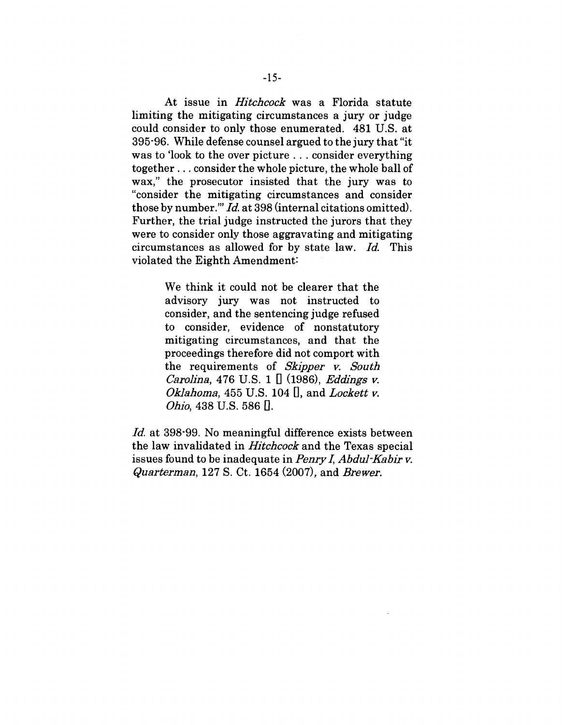At issue in *Hitchcock* was a Florida statute limiting the mitigating circumstances a jury or judge could consider to only those enumerated. 481 U.S. at 395"96. While defense counsel argued to the jury that "it was to 'look to the over picture... consider everything together.., consider the whole picture, the whole ball of wax," the prosecutor insisted that the jury was to "consider the mitigating circumstances and consider those by number."' *Id.* at 398 (internal citations omitted). Further, the trial judge instructed the jurors that they were to consider only those aggravating and mitigating circumstances as allowed for by state law. *Id.* This violated the Eighth Amendment:

> We think it could not be clearer that the advisory jury was not instructed to consider, and the sentencing judge refused to consider, evidence of nonstatutory mitigating circumstances, and that the proceedings therefore did not comport with the requirements of *Skipper v. South Carolina,* 476 U.S. 1 [] (1986), *Eddlngs v. Ok]al~oma,* 455 U.S. 104 [], and *Lockett v. Ohio,* 438 U.S. 586 [.]

*Id.* at 398.99. No meaningful difference exists between the law invalidated in *Hitchcock* and the Texas special issues found to be inadequate in *PenryI, Abdul-Kabir v. Quarterman,* 127 S. Ct. 1654 (2007), and *Brewer.*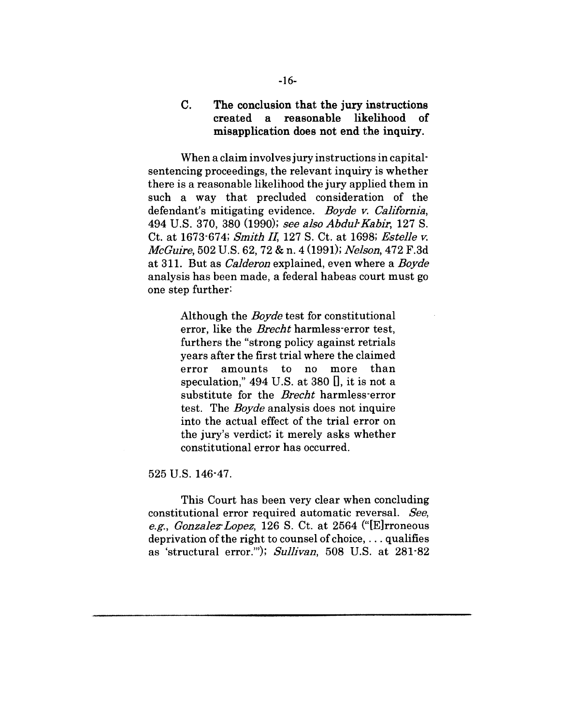**Co The conclusion that the jury instructions created a reasonable likelihood of misapplication does not end the inquiry.**

When a claim involves jury instructions in capitalsentencing proceedings, the relevant inquiry is whether there is a reasonable likelihood the jury applied them in such a way that precluded consideration of the defendant's mitigating evidence. Boyde v. California, 494 U.S. 370, 380 (1990); *see also Abdul'Kabir,* 127 S. Ct. at 1673-674; *Smith II,* 127 S. Ct. at 1698; *Estelle v. McGuire,* 502 U.S. 62, 72 & n. 4 (1991); *Nelson,* 472 F.3d at 311. But as *Calderon* explained, even where a *Boyde* analysis has been made, a federal habeas court must go one step further:

> Although the *Boyde* test for constitutional error, like the *Brecht* harmless-error test, furthers the "strong policy against retrials years after the first trial where the claimed error amounts to no more than speculation,"  $494$  U.S. at 380  $\Box$ , it is not a substitute for the *Brecht* harmless'error test. The *Boyde* analysis does not inquire into the actual effect of the trial error on the jury's verdict; it merely asks whether constitutional error has occurred.

525 U.S. 146-47.

This Court has been very clear when concluding constitutional error required automatic reversal. *See, e.g., Gonzalez'Lopez,* 126 S. Ct. at 2564 ("[E]rroneous deprivation of the right to counsel of choice,  $\dots$  qualifies as 'structural error."'); *Sullivan,* 508 U.S. at 281-82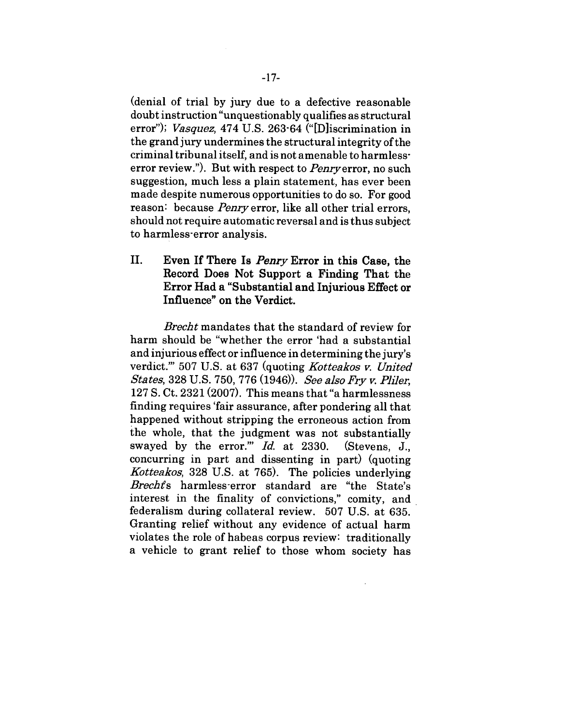(denial of trial by jury due to a defective reasonable doubt instruction "unquestionably qualifies as structural error"); *Vasquez,* 474 U.S. 263-64 ("[D]iscrimination in the grand jury undermines the structural integrity of the criminal tribunal itself, and is not amenable to harmlesserror review."). But with respect to *Penry* error, no such suggestion, much less a plain statement, has ever been made despite numerous opportunities to do so. For good reason: because *Penry* error, like all other trial errors, should not require automatic reversal and is thus subject to harmless-error analysis.

**II. Even If There Is** *Peary* **Error in this Case, the Record Does Not Support a Finding That the Error Had a "Substantial and Injurious Effect or Influence" on the Verdict.**

*Brecht* mandates that the standard of review for harm should be "whether the error 'had a substantial and injurious effect or influence in determining the jury's verdict.'" 507 U.S. at 637 (quoting *Kotteakos v. United States, 328 U.S. 750, 776 (1946)). See also Fry v. Pliler,* 127 S. Ct. 2321 (2007). This means that "a harmlessness finding requires 'fair assurance, after pondering all that happened without stripping the erroneous action from the whole, that the judgment was not substantially swayed by the error.'" *Id.* at 2330. (Stevens, J., concurring in part and dissenting in part) (quoting *Kotteakos,* 328 U.S. at 765). The policies underlying *Brecht's* harmless-error standard are "the State's interest in the finality of convictions," comity, and federalism during collateral review. 507 U.S. at 635. Granting relief without any evidence of actual harm violates the role of habeas corpus review: traditionally a vehicle to grant relief to those whom society has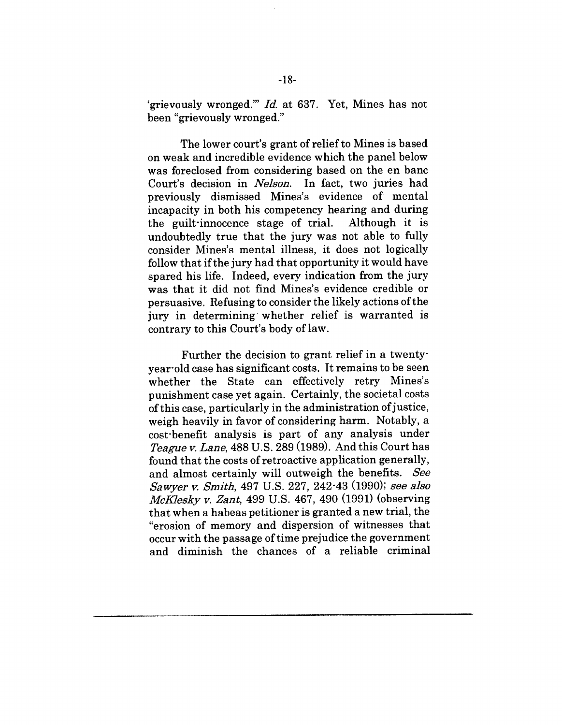'grievously wronged.'" *Id.* at 637. Yet, Mines has not been "grievously wronged."

The lower court's grant of relief to Mines is based on weak and incredible evidence which the panel below was foreclosed from considering based on the en banc Court's decision in *Nelson.* In fact, two juries had previously dismissed Mines's evidence of mental incapacity in both his competency hearing and during the guilt-innocence stage of trial. Although it is undoubtedly true that the jury was not able to fully consider Mines's mental illness, it does not logically follow that if the jury had that opportunity it would have spared his life. Indeed, every indication from the jury was that it did not find Mines's evidence credible or persuasive. Refusing to consider the likely actions of the jury in determining whether relief is warranted is contrary to this Court's body of law.

Further the decision to grant relief in a twenty. year-old case has significant costs. It remains to be seen whether the State can effectively retry Mines's punishment case yet again. Certainly, the societal costs of this case, particularly in the administration of justice, weigh heavily in favor of considering harm. Notably, a cost'benefit analysis is part of any analysis under Teague v. Lane, 488 U.S. 289 (1989). And this Court has found that the costs of retroactive application generally, and almost certainly will outweigh the benefits. See *Sawyer ~. Smitl~,* 497 U.S. 227, 242-43 (1990); *see also McKlesky ~. Zant,* 499 U.S. 467, 490 (1991) (observing that when a habeas petitioner is granted a new trial, the "erosion of memory and dispersion of witnesses that occur with the passage of time prejudice the government and diminish the chances of a reliable criminal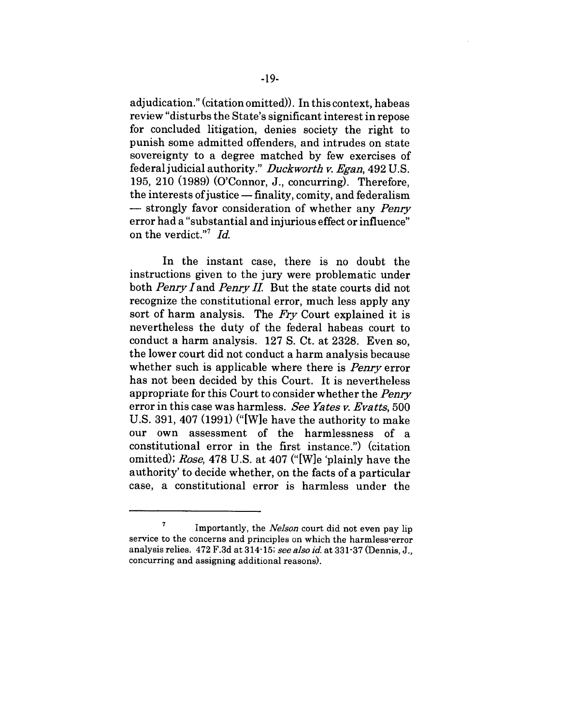adjudication." (citation omitted)). Inthis context, habeas review "disturbs the State's significant interest in repose for concluded litigation, denies society the right to punish some admitted offenders, and intrudes on state sovereignty to a degree matched by few exercises of federal judicial authority." *Duckworth v. Egan*, 492 U.S. 195, 210 (1989) (O'Connor, J., concurring). Therefore, the interests of justice  $-\text{finality},$  comity, and federalism  $-$  strongly favor consideration of whether any *Penry* error had a "substantial and injurious effect or influence" on the verdict.''7 *Id.*

In the instant case, there is no doubt the instructions given to the jury were problematic under both *Penry I* and *Penry II.* But the state courts did not recognize the constitutional error, much less apply any sort of harm analysis. The *Fry* Court explained it is nevertheless the duty of the federal habeas court to conduct a harm analysis. 127 S. Ct. at 2328. Even so, the lower court did not conduct a harm analysis because whether such is applicable where there is *Penry* error has not been decided by this Court. It is nevertheless appropriate for this Court to consider whether the *Penry* error in this case was harmless. *See Yates v. Evatts,* 500 U.S. 391, 407 (1991) ("[W]e have the authority to make our own assessment of the harmlessness of a constitutional error in the first instance.") (citation omitted); *Rose,* 478 U.S. at 407 ("[W]e 'plainly have the authority' to decide whether, on the facts of a particular case, a constitutional error is harmless under the

<sup>7</sup> Importantly, the *NeIson* court did not even pay lip service to the concerns and principles on which the harmless-error analysis relies. 472 F.3d at 314-15; *see also id.* at 331-37 (Dennis, J., concurring and assigning additional reasons).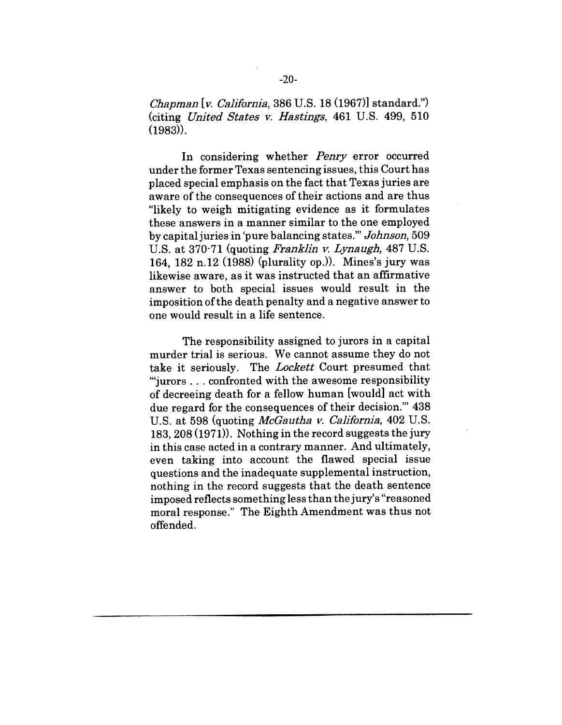*Chapman [v. California,* 386 U.S. 18 (1967)] standard.") (citing *United States v. Hastings,* 461 U.S. 499, 510 (1983)).

In considering whether *Penry* error occurred under the former Texas sentencing issues, this Court has placed special emphasis on the fact that Texas juries are aware of the consequences of their actions and are thus "likely to weigh mitigating evidence as it formulates these answers in a manner similar to the one employed by capital juries in 'pure balancing states.'" *Johnson,* 509 U.S. at 370-71 (quoting *Franklin v. Lynaugh,* 487 U.S. 164, 182 n.12 (1988) (plurality op.)). Mines's jury was likewise aware, as it was instructed that an affirmative answer to both special issues would result in the imposition of the death penalty and a negative answer to one would result in a life sentence.

The responsibility assigned to jurors in a capital murder trial is serious. We cannot assume they do not take it seriously. The *Lockett* Court presumed that "'jurors... confronted with the awesome responsibility of decreeing death for a fellow human [would] act with due regard for the consequences of their decision."' 438 U.S. at 598 (quoting *McGautha v. California,* 402 U.S. 183,208 (1971)). Nothing in the record suggests the jury in this case acted in a contrary manner. And ultimately, even taking into account the flawed special issue questions and the inadequate supplemental instruction, nothing in the record suggests that the death sentence imposed reflects something less than the jury's "reasoned moral response." The Eighth Amendment was thus not offended.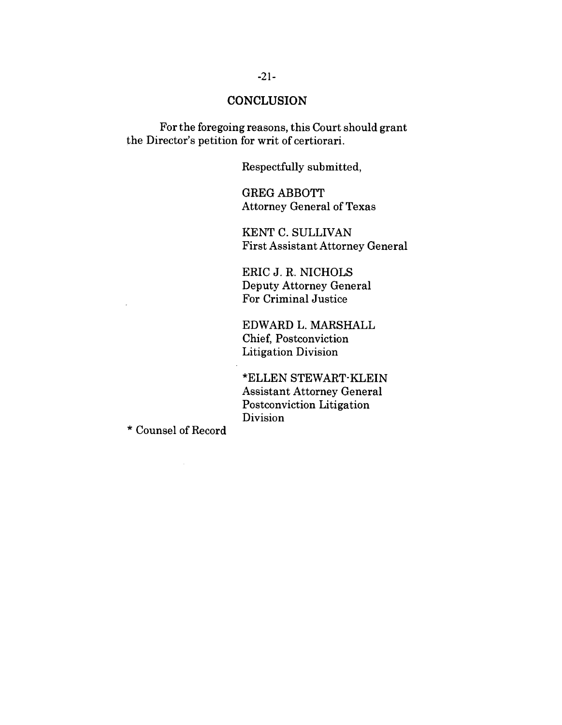#### **CONCLUSION**

For the foregoing reasons, this Court should grant the Director's petition for writ of certiorari.

Respectfully submitted,

GREG ABBOTT Attorney General of Texas

KENT C. SULLIVAN First Assistant Attorney General

ERIC J. R. NICHOLS Deputy Attorney General For Criminal Justice

EDWARD L. MARSHALL Chief, Postconviction Litigation Division

\*ELLEN STEWART-KLEIN Assistant Attorney General Postconviction Litigation Division

\* Counsel of Record